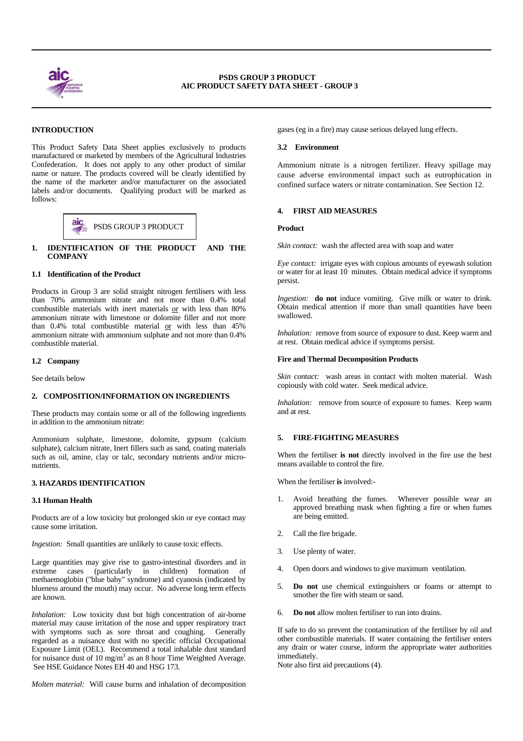

 $\overline{a}$ 

 $\overline{a}$ 

# **INTRODUCTION**

This Product Safety Data Sheet applies exclusively to products manufactured or marketed by members of the Agricultural Industries Confederation. It does not apply to any other product of similar name or nature. The products covered will be clearly identified by the name of the marketer and/or manufacturer on the associated labels and/or documents. Qualifying product will be marked as follows:



# **1. IDENTIFICATION OF THE PRODUCT AND THE COMPANY**

## **1.1 Identification of the Product**

Products in Group 3 are solid straight nitrogen fertilisers with less than 70% ammonium nitrate and not more than 0.4% total combustible materials with inert materials or with less than 80% ammonium nitrate with limestone or dolomite filler and not more than 0.4% total combustible material or with less than 45% ammonium nitrate with ammonium sulphate and not more than 0.4% combustible material.

## **1.2 Company**

See details below

## **2. COMPOSITION/INFORMATION ON INGREDIENTS**

These products may contain some or all of the following ingredients in addition to the ammonium nitrate:

Ammonium sulphate, limestone, dolomite, gypsum (calcium sulphate), calcium nitrate, Inert fillers such as sand, coating materials such as oil, amine, clay or talc, secondary nutrients and/or micronutrients.

## **3. HAZARDS IDENTIFICATION**

#### **3.1 Human Health**

Products are of a low toxicity but prolonged skin or eye contact may cause some irritation.

*Ingestion:* Small quantities are unlikely to cause toxic effects.

Large quantities may give rise to gastro-intestinal disorders and in extreme cases (particularly in children) formation of methaemoglobin ("blue baby" syndrome) and cyanosis (indicated by blueness around the mouth) may occur. No adverse long term effects are known.

*Inhalation:* Low toxicity dust but high concentration of air-borne material may cause irritation of the nose and upper respiratory tract with symptoms such as sore throat and coughing. Generally regarded as a nuisance dust with no specific official Occupational Exposure Limit (OEL). Recommend a total inhalable dust standard for nuisance dust of 10 mg/m<sup>3</sup> as an 8 hour Time Weighted Average. See HSE Guidance Notes EH 40 and HSG 173.

*Molten material:* Will cause burns and inhalation of decomposition

gases (eg in a fire) may cause serious delayed lung effects.

#### **3.2 Environment**

Ammonium nitrate is a nitrogen fertilizer. Heavy spillage may cause adverse environmental impact such as eutrophication in confined surface waters or nitrate contamination. See Section 12.

# **4. FIRST AID MEASURES**

*Skin contact:* wash the affected area with soap and water

*Eye contact:* irrigate eyes with copious amounts of eyewash solution or water for at least 10 minutes. Obtain medical advice if symptoms persist.

*Ingestion:* **do not** induce vomiting. Give milk or water to drink. Obtain medical attention if more than small quantities have been swallowed.

*Inhalation:* remove from source of exposure to dust. Keep warm and at rest. Obtain medical advice if symptoms persist.

#### **Fire and Thermal Decomposition Products**

*Skin contact:* wash areas in contact with molten material. Wash copiously with cold water. Seek medical advice.

*Inhalation:* remove from source of exposure to fumes. Keep warm and at rest.

## **5. FIRE-FIGHTING MEASURES**

When the fertiliser **is not** directly involved in the fire use the best means available to control the fire.

When the fertiliser **is** involved:-

- Avoid breathing the fumes. Wherever possible wear an approved breathing mask when fighting a fire or when fumes are being emitted.
- 2. Call the fire brigade.
- 3. Use plenty of water.
- 4. Open doors and windows to give maximum ventilation.
- 5. **Do not** use chemical extinguishers or foams or attempt to smother the fire with steam or sand.
- 6. **Do not** allow molten fertiliser to run into drains.

If safe to do so prevent the contamination of the fertiliser by oil and other combustible materials. If water containing the fertiliser enters any drain or water course, inform the appropriate water authorities immediately.

Note also first aid precautions (4).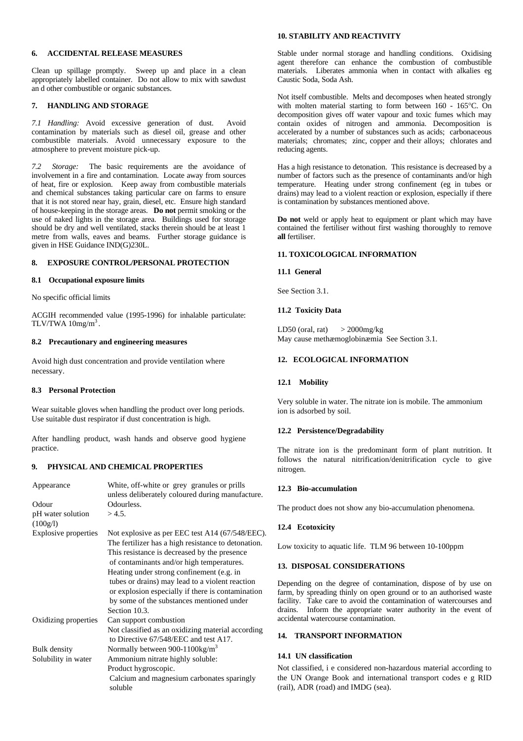## **6. ACCIDENTAL RELEASE MEASURES**

Clean up spillage promptly. Sweep up and place in a clean appropriately labelled container. Do not allow to mix with sawdust an d other combustible or organic substances.

#### **7. HANDLING AND STORAGE**

*7.1 Handling:* Avoid excessive generation of dust. Avoid contamination by materials such as diesel oil, grease and other combustible materials. Avoid unnecessary exposure to the atmosphere to prevent moisture pick-up.

*7.2 Storage:* The basic requirements are the avoidance of involvement in a fire and contamination. Locate away from sources of heat, fire or explosion. Keep away from combustible materials and chemical substances taking particular care on farms to ensure that it is not stored near hay, grain, diesel, etc. Ensure high standard of house-keeping in the storage areas. **Do not** permit smoking or the use of naked lights in the storage area. Buildings used for storage should be dry and well ventilated, stacks therein should be at least 1 metre from walls, eaves and beams. Further storage guidance is given in HSE Guidance IND(G)230L.

# **8. EXPOSURE CONTROL/PERSONAL PROTECTION**

#### **8.1 Occupational exposure limits**

No specific official limits

ACGIH recommended value (1995-1996) for inhalable particulate: TLV/TWA  $10$ mg/m<sup>3</sup>.

## **8.2 Precautionary and engineering measures**

Avoid high dust concentration and provide ventilation where necessary.

## **8.3 Personal Protection**

Wear suitable gloves when handling the product over long periods. Use suitable dust respirator if dust concentration is high.

After handling product, wash hands and observe good hygiene practice.

## **9. PHYSICAL AND CHEMICAL PROPERTIES**

| Appearance                    | White, off-white or grey granules or prills<br>unless deliberately coloured during manufacture. |
|-------------------------------|-------------------------------------------------------------------------------------------------|
| Odour                         | Odourless.                                                                                      |
| pH water solution<br>(100g/l) | >4.5.                                                                                           |
| Explosive properties          | Not explosive as per EEC test A14 (67/548/EEC).                                                 |
|                               | The fertilizer has a high resistance to detonation.                                             |
|                               | This resistance is decreased by the presence                                                    |
|                               | of contaminants and/or high temperatures.                                                       |
|                               | Heating under strong confinement (e.g. in                                                       |
|                               | tubes or drains) may lead to a violent reaction                                                 |
|                               | or explosion especially if there is contamination                                               |
|                               | by some of the substances mentioned under                                                       |
|                               | Section 10.3.                                                                                   |
| Oxidizing properties          | Can support combustion                                                                          |
|                               | Not classified as an oxidizing material according                                               |
|                               | to Directive 67/548/EEC and test A17.                                                           |
| <b>Bulk</b> density           | Normally between 900-1100kg/m <sup>3</sup>                                                      |
| Solubility in water           | Ammonium nitrate highly soluble:                                                                |
|                               | Product hygroscopic.                                                                            |
|                               | Calcium and magnesium carbonates sparingly<br>soluble                                           |

# **10. STABILITY AND REACTIVITY**

Stable under normal storage and handling conditions. Oxidising agent therefore can enhance the combustion of combustible materials. Liberates ammonia when in contact with alkalies eg Caustic Soda, Soda Ash.

Not itself combustible. Melts and decomposes when heated strongly with molten material starting to form between 160 - 165°C. On decomposition gives off water vapour and toxic fumes which may contain oxides of nitrogen and ammonia. Decomposition is accelerated by a number of substances such as acids; carbonaceous materials; chromates; zinc, copper and their alloys; chlorates and reducing agents.

Has a high resistance to detonation. This resistance is decreased by a number of factors such as the presence of contaminants and/or high temperature. Heating under strong confinement (eg in tubes or drains) may lead to a violent reaction or explosion, especially if there is contamination by substances mentioned above.

**Do not** weld or apply heat to equipment or plant which may have contained the fertiliser without first washing thoroughly to remove **all** fertiliser.

# **11. TOXICOLOGICAL INFORMATION**

#### **11.1 General**

See Section 3.1.

#### **11.2 Toxicity Data**

LD50 (oral, rat)  $>$  2000mg/kg May cause methæmoglobinæmia See Section 3.1.

# **12. ECOLOGICAL INFORMATION**

#### **12.1 Mobility**

Very soluble in water. The nitrate ion is mobile. The ammonium ion is adsorbed by soil.

#### **12.2 Persistence/Degradability**

The nitrate ion is the predominant form of plant nutrition. It follows the natural nitrification/denitrification cycle to give nitrogen.

## **12.3 Bio-accumulation**

The product does not show any bio-accumulation phenomena.

#### **12.4 Ecotoxicity**

Low toxicity to aquatic life. TLM 96 between 10-100ppm

#### **13. DISPOSAL CONSIDERATIONS**

Depending on the degree of contamination, dispose of by use on farm, by spreading thinly on open ground or to an authorised waste facility. Take care to avoid the contamination of watercourses and drains. Inform the appropriate water authority in the event of accidental watercourse contamination.

# **14. TRANSPORT INFORMATION**

#### **14.1 UN classification**

Not classified, i e considered non-hazardous material according to the UN Orange Book and international transport codes e g RID (rail), ADR (road) and IMDG (sea).